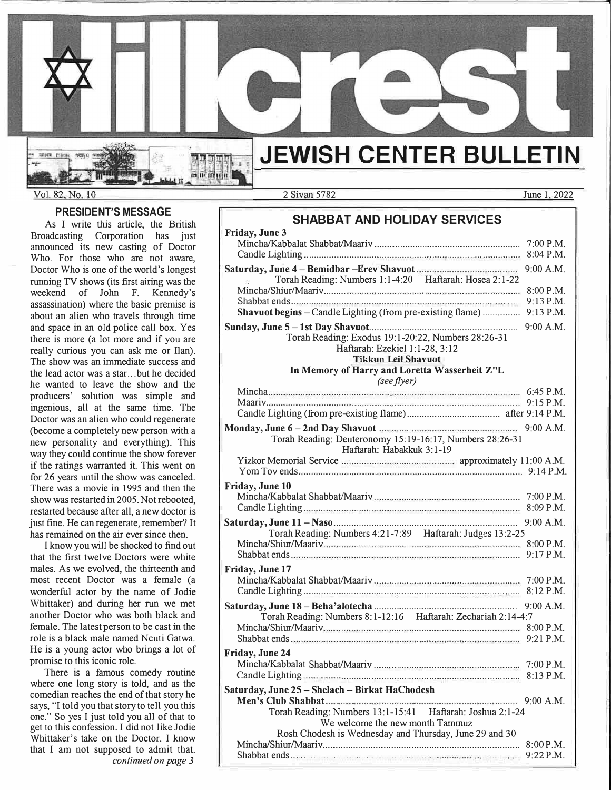

Vol. 82, No. 10

SENT PER

#### **PRESIDENT'S MESSAGE**

As I write this article, the British Broadcasting Corporation has just announced its new casting of Doctor Who. For those who are not aware, Doctor Who is one of the world's longest running TV shows (its first airing was the weekend of John F. Kennedy's assassination) where the basic premise is about an alien who travels through time and space in an old police call box. Yes there is more (a lot more and if you are really curious you can ask me or Ilan). The show was an immediate success and the lead actor was a star ... but he decided he wanted to leave the show and the producers' solution was simple and ingenious, all at the same time. The Doctor was an alien who could regenerate (become a completely new person with a new personality and everything). This way they could continue the show forever if the ratings warranted it. This went on for 26 years until the show was canceled. There was a movie in 1995 and then the show was restarted in 2005. Not rebooted, restarted because after all, a new doctor is just fine. He can regenerate, remember? It has remained on the air ever since then.

I know you will be shocked to find out that the first twelve Doctors were white males. As we evolved, the thirteenth and most recent Doctor was a female (a wonderful actor by the name of Jodie Whittaker) and during her run we met another Doctor who was both black and female. The latest person to be cast in the role is a black male named Ncuti Gatwa. He is a young actor who brings a lot of promise to this iconic role.

There is a famous comedy routine where one long story is told, and as the comedian reaches the end of that story he says, "I told you that story to tell you this one." So yes I just told you all of that to get to this confession. I did not like Jodie Whittaker's take on the Doctor. I know that I am not supposed to admit that. *continued on page 3* 

2 Sivan5782 June 1. 2022

## **SHABBAT AND HOLIDAY SERVICES**

| Friday, June 3                                                                        |           |
|---------------------------------------------------------------------------------------|-----------|
|                                                                                       | 7:00 P.M. |
|                                                                                       | 8:04 P.M. |
|                                                                                       |           |
| Torah Reading: Numbers 1:1-4:20 Haftarah: Hosea 2:1-22                                |           |
|                                                                                       | 8:00 P.M. |
|                                                                                       |           |
| Shavuot begins - Candle Lighting (from pre-existing flame)  9:13 P.M.                 |           |
|                                                                                       |           |
| Torah Reading: Exodus 19:1-20:22, Numbers 28:26-31                                    |           |
| Haftarah: Ezekiel 1:1-28, 3:12                                                        |           |
| <b>Tikkun Leil Shavuot</b>                                                            |           |
| In Memory of Harry and Loretta Wasserheit Z"L                                         |           |
| (see flyer)                                                                           |           |
|                                                                                       |           |
|                                                                                       |           |
|                                                                                       |           |
|                                                                                       |           |
|                                                                                       |           |
| Torah Reading: Deuteronomy 15:19-16:17, Numbers 28:26-31<br>Haftarah: Habakkuk 3:1-19 |           |
|                                                                                       |           |
|                                                                                       |           |
| Friday, June 10                                                                       |           |
|                                                                                       |           |
|                                                                                       |           |
|                                                                                       |           |
|                                                                                       |           |
| Torah Reading: Numbers 4:21-7:89 Haftarah: Judges 13:2-25                             |           |
|                                                                                       | 8:00 P.M. |
|                                                                                       |           |
| Friday, June 17                                                                       |           |
|                                                                                       |           |
|                                                                                       |           |
|                                                                                       |           |
| Torah Reading: Numbers 8:1-12:16 Haftarah: Zechariah 2:14-4:7                         |           |
|                                                                                       |           |
|                                                                                       |           |
| Friday, June 24                                                                       |           |
|                                                                                       |           |
|                                                                                       | 8:13 P.M. |
|                                                                                       |           |
| Saturday, June 25 - Shelach - Birkat HaChodesh                                        |           |
|                                                                                       |           |
| Torah Reading: Numbers 13:1-15:41   Haftarah: Joshua 2:1-24                           |           |
| We welcome the new month Tammuz                                                       |           |
| Rosh Chodesh is Wednesday and Thursday, June 29 and 30                                |           |
|                                                                                       | 8:00 P.M. |
|                                                                                       |           |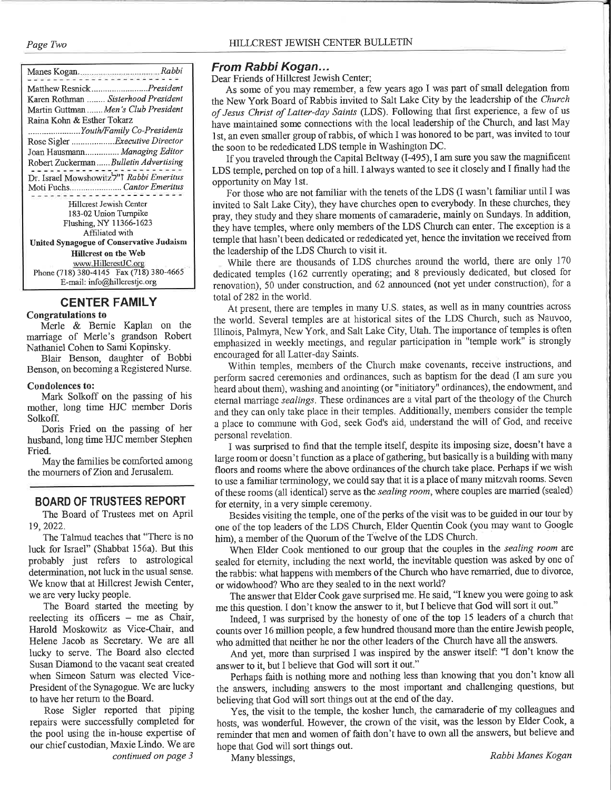Page Two

| Matthew ResnickPresident                                                          |  |
|-----------------------------------------------------------------------------------|--|
| Karen Rothman  Sisterhood President                                               |  |
| Martin Guttman  Men's Club President                                              |  |
| Raina Kohn & Esther Tokarz                                                        |  |
| Youth/Family Co-Presidents                                                        |  |
| Rose Sigler  Executive Director                                                   |  |
| Joan Hausmann Managing Editor                                                     |  |
| Robert Zuckerman  Bulletin Advertising                                            |  |
| Dr. Israel Mowshowitz <sup>7"</sup> I Rabbi Emeritus<br>Moti FuchsCantor Emeritus |  |
| Hillcrest Jewish Center                                                           |  |
| 183-02 Union Turnpike                                                             |  |
| Flushing, NY 11366-1623                                                           |  |
| Affiliated with                                                                   |  |
| United Synagogue of Conservative Judaism                                          |  |
| <b>Hillcrest on the Web</b>                                                       |  |
| www.HillcrestJC.org                                                               |  |
| Phone (718) 380-4145 Fax (718) 380-4665                                           |  |
| E-mail: info@hillcrestic.org                                                      |  |

# **CENTER FAMILY**

#### **Congratulations to**

Merle & Bernie Kaplan on the marriage of Merle's grandson Robert Nathaniel Cohen to Sami Kopinsky.

Blair Benson, daughter of Bobbi Benson, on becoming a Registered Nurse.

#### **Condolences to:**

Mark Solkoff on the passing of his mother, long time HJC member Doris Solkoff.

Doris Fried on the passing of her husband, long time HJC member Stephen Fried.

May the families be comforted among the mourners of Zion and Jerusalem.

# **BOARD OF TRUSTEES REPORT**

The Board of Trustees met on April 19, 2022.

The Talmud teaches that "There is no luck for Israel" (Shabbat 156a). But this probably just refers to astrological determination, not luck in the usual sense. We know that at Hillcrest Jewish Center, we are very lucky people.

The Board started the meeting by reelecting its officers  $-$  me as Chair, Harold Moskowitz as Vice-Chair, and Helene Jacob as Secretary. We are all lucky to serve. The Board also elected Susan Diamond to the vacant seat created when Simeon Saturn was elected Vice-President of the Synagogue. We are lucky to have her return to the Board.

Rose Sigler reported that piping repairs were successfully completed for the pool using the in-house expertise of our chief custodian, Maxie Lindo. We are continued on page 3

# From Rabbi Kogan...

Dear Friends of Hillcrest Jewish Center;

As some of you may remember, a few years ago I was part of small delegation from the New York Board of Rabbis invited to Salt Lake City by the leadership of the Church of Jesus Christ of Latter-day Saints (LDS). Following that first experience, a few of us have maintained some connections with the local leadership of the Church, and last May 1st, an even smaller group of rabbis, of which I was honored to be part, was invited to tour the soon to be rededicated LDS temple in Washington DC.

If you traveled through the Capital Beltway (I-495), I am sure you saw the magnificent LDS temple, perched on top of a hill. I always wanted to see it closely and I finally had the opportunity on May 1st.

For those who are not familiar with the tenets of the LDS (I wasn't familiar until I was invited to Salt Lake City), they have churches open to everybody. In these churches, they pray, they study and they share moments of camaraderie, mainly on Sundays. In addition, they have temples, where only members of the LDS Church can enter. The exception is a temple that hasn't been dedicated or rededicated yet, hence the invitation we received from the leadership of the LDS Church to visit it.

While there are thousands of LDS churches around the world, there are only 170 dedicated temples (162 currently operating; and 8 previously dedicated, but closed for renovation), 50 under construction, and 62 announced (not yet under construction), for a total of 282 in the world.

At present, there are temples in many U.S. states, as well as in many countries across the world. Several temples are at historical sites of the LDS Church, such as Nauvoo, Illinois, Palmyra, New York, and Salt Lake City, Utah. The importance of temples is often emphasized in weekly meetings, and regular participation in "temple work" is strongly encouraged for all Latter-day Saints.

Within temples, members of the Church make covenants, receive instructions, and perform sacred ceremonies and ordinances, such as baptism for the dead (I am sure you heard about them), washing and anointing (or "initiatory" ordinances), the endowment, and eternal marriage *sealings*. These ordinances are a vital part of the theology of the Church and they can only take place in their temples. Additionally, members consider the temple a place to commune with God, seek God's aid, understand the will of God, and receive personal revelation.

I was surprised to find that the temple itself, despite its imposing size, doesn't have a large room or doesn't function as a place of gathering, but basically is a building with many floors and rooms where the above ordinances of the church take place. Perhaps if we wish to use a familiar terminology, we could say that it is a place of many mitzvah rooms. Seven of these rooms (all identical) serve as the sealing room, where couples are married (sealed) for eternity, in a very simple ceremony.

Besides visiting the temple, one of the perks of the visit was to be guided in our tour by one of the top leaders of the LDS Church, Elder Quentin Cook (you may want to Google him), a member of the Quorum of the Twelve of the LDS Church.

When Elder Cook mentioned to our group that the couples in the sealing room are sealed for eternity, including the next world, the inevitable question was asked by one of the rabbis: what happens with members of the Church who have remarried, due to divorce, or widowhood? Who are they sealed to in the next world?

The answer that Elder Cook gave surprised me. He said, "I knew you were going to ask me this question. I don't know the answer to it, but I believe that God will sort it out."

Indeed, I was surprised by the honesty of one of the top 15 leaders of a church that counts over 16 million people, a few hundred thousand more than the entire Jewish people, who admitted that neither he nor the other leaders of the Church have all the answers.

And yet, more than surprised I was inspired by the answer itself: "I don't know the answer to it, but I believe that God will sort it out."

Perhaps faith is nothing more and nothing less than knowing that you don't know all the answers, including answers to the most important and challenging questions, but believing that God will sort things out at the end of the day.

Yes, the visit to the temple, the kosher lunch, the camaraderie of my colleagues and hosts, was wonderful. However, the crown of the visit, was the lesson by Elder Cook, a reminder that men and women of faith don't have to own all the answers, but believe and hope that God will sort things out.

Many blessings,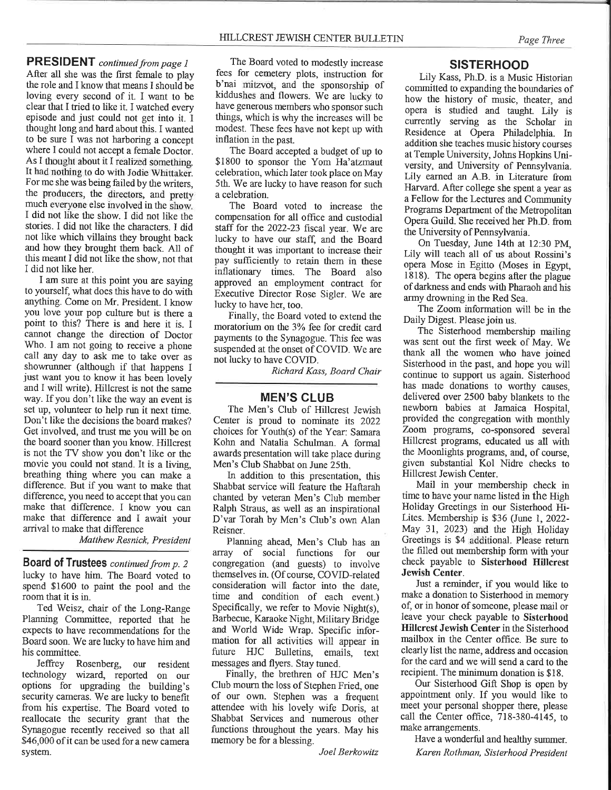**PRESIDENT** continued from page 1 After all she was the first female to play the role and I know that means I should be loving every second of it. I want to be clear that I tried to like it. I watched every episode and just could not get into it. I thought long and hard about this. I wanted to be sure I was not harboring a concept where I could not accept a female Doctor. As I thought about it I realized something. It had nothing to do with Jodie Whittaker. For me she was being failed by the writers, the producers, the directors, and pretty much everyone else involved in the show. I did not like the show. I did not like the stories. I did not like the characters. I did not like which villains they brought back and how they brought them back. All of this meant I did not like the show, not that I did not like her.

I am sure at this point you are saying to yourself, what does this have to do with anything. Come on Mr. President. I know you love your pop culture but is there a point to this? There is and here it is. I cannot change the direction of Doctor Who. I am not going to receive a phone call any day to ask me to take over as showrunner (although if that happens I just want you to know it has been lovely and I will write). Hillcrest is not the same way. If you don't like the way an event is set up, volunteer to help run it next time. Don't like the decisions the board makes? Get involved, and trust me you will be on the board sooner than you know. Hillcrest is not the TV show you don't like or the movie you could not stand. It is a living, breathing thing where you can make a difference. But if you want to make that difference, you need to accept that you can make that difference. I know you can make that difference and I await your arrival to make that difference

Matthew Resnick, President

Board of Trustees continued from p. 2 lucky to have him. The Board voted to spend \$1600 to paint the pool and the room that it is in.

Ted Weisz, chair of the Long-Range Planning Committee, reported that he expects to have recommendations for the Board soon. We are lucky to have him and his committee.

Jeffrey Rosenberg, our resident technology wizard, reported on our options for upgrading the building's security cameras. We are lucky to benefit from his expertise. The Board voted to reallocate the security grant that the Synagogue recently received so that all \$46,000 of it can be used for a new camera system.

The Board voted to modestly increase fees for cemetery plots, instruction for b'nai mitzvot, and the sponsorship of kiddushes and flowers. We are lucky to have generous members who sponsor such things, which is why the increases will be modest. These fees have not kept up with inflation in the past.

The Board accepted a budget of up to \$1800 to sponsor the Yom Ha'atzmaut celebration, which later took place on May 5th. We are lucky to have reason for such a celebration.

The Board voted to increase the compensation for all office and custodial staff for the 2022-23 fiscal year. We are lucky to have our staff, and the Board thought it was important to increase their pay sufficiently to retain them in these inflationary times. The Board also approved an employment contract for Executive Director Rose Sigler. We are lucky to have her, too.

Finally, the Board voted to extend the moratorium on the 3% fee for credit card payments to the Synagogue. This fee was suspended at the onset of COVID. We are not lucky to have COVID.

Richard Kass, Board Chair

#### **MEN'S CLUB**

The Men's Club of Hillcrest Jewish Center is proud to nominate its 2022 choices for Youth(s) of the Year: Samara Kohn and Natalia Schulman. A formal awards presentation will take place during Men's Club Shabbat on June 25th.

In addition to this presentation, this Shabbat service will feature the Haftarah chanted by veteran Men's Club member Ralph Straus, as well as an inspirational D'var Torah by Men's Club's own Alan Reisner.

Planning ahead, Men's Club has an array of social functions for our congregation (and guests) to involve themselves in. (Of course, COVID-related consideration will factor into the date, time and condition of each event.) Specifically, we refer to Movie Night(s), Barbecue, Karaoke Night, Military Bridge and World Wide Wrap. Specific information for all activities will appear in future HJC Bulletins, emails, text messages and flyers. Stay tuned.

Finally, the brethren of HJC Men's Club mourn the loss of Stephen Fried, one of our own. Stephen was a frequent attendee with his lovely wife Doris, at Shabbat Services and numerous other functions throughout the years. May his memory be for a blessing.

Joel Berkowitz

#### **SISTERHOOD**

Lily Kass, Ph.D. is a Music Historian committed to expanding the boundaries of how the history of music, theater, and opera is studied and taught. Lily is currently serving as the Scholar in Residence at Opera Philadelphia. In addition she teaches music history courses at Temple University, Johns Hopkins University, and University of Pennsylvania. Lily earned an A.B. in Literature from Harvard. After college she spent a year as a Fellow for the Lectures and Community Programs Department of the Metropolitan Opera Guild. She received her Ph.D. from the University of Pennsylvania.

On Tuesday, June 14th at 12:30 PM. Lily will teach all of us about Rossini's opera Mose in Egitto (Moses in Egypt, 1818). The opera begins after the plague of darkness and ends with Pharaoh and his army drowning in the Red Sea.

The Zoom information will be in the Daily Digest. Please join us.

The Sisterhood membership mailing was sent out the first week of May. We thank all the women who have joined Sisterhood in the past, and hope you will continue to support us again. Sisterhood has made donations to worthy causes. delivered over 2500 baby blankets to the newborn babies at Jamaica Hospital. provided the congregation with monthly Zoom programs, co-sponsored several Hillcrest programs, educated us all with the Moonlights programs, and, of course, given substantial Kol Nidre checks to Hillcrest Jewish Center.

Mail in your membership check in time to have your name listed in the High Holiday Greetings in our Sisterhood Hi-Lites. Membership is \$36 (June 1, 2022-May 31, 2023) and the High Holiday Greetings is \$4 additional. Please return the filled out membership form with your check payable to Sisterhood Hillcrest Jewish Center.

Just a reminder, if you would like to make a donation to Sisterhood in memory of, or in honor of someone, please mail or leave your check payable to Sisterhood Hillcrest Jewish Center in the Sisterhood mailbox in the Center office. Be sure to clearly list the name, address and occasion for the card and we will send a card to the recipient. The minimum donation is \$18.

Our Sisterhood Gift Shop is open by appointment only. If you would like to meet your personal shopper there, please call the Center office, 718-380-4145, to make arrangements.

Have a wonderful and healthy summer. Karen Rothman, Sisterhood President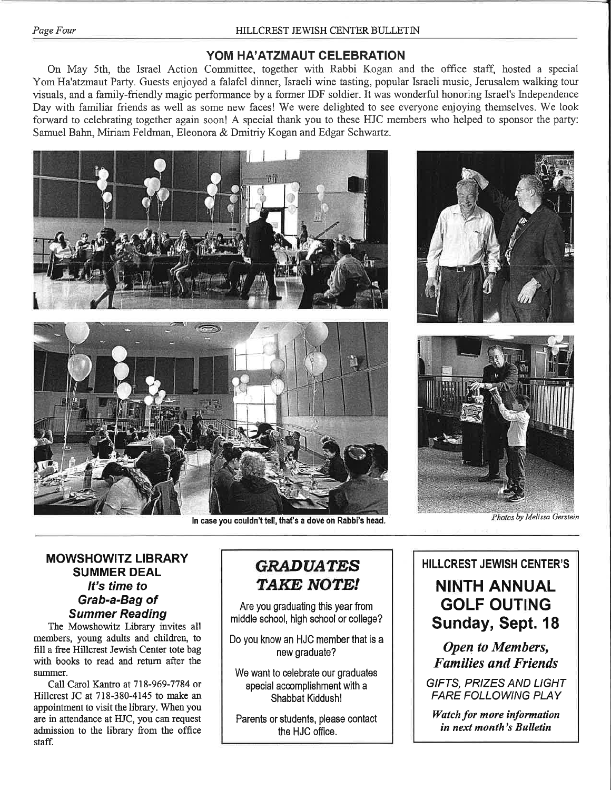# YOM HA'ATZMAUT CELEBRATION

On May 5th, the Israel Action Committee, together with Rabbi Kogan and the office staff, hosted a special Yom Ha'atzmaut Party. Guests enjoyed a falafel dinner, Israeli wine tasting, popular Israeli music, Jerusalem walking tour visuals, and a family-friendly magic performance by a former IDF soldier. It was wonderful honoring Israel's Independence Day with familiar friends as well as some new faces! We were delighted to see everyone enjoying themselves. We look forward to celebrating together again soon! A special thank you to these HJC members who helped to sponsor the party: Samuel Bahn, Miriam Feldman, Eleonora & Dmitriy Kogan and Edgar Schwartz.







In case you couldn't tell, that's a dove on Rabbi's head.

Photos by Melissa Gerstein

# **MOWSHOWITZ LIBRARY SUMMER DEAL** It's time to Grab-a-Bag of **Summer Reading**

The Mowshowitz Library invites all members, young adults and children, to fill a free Hillcrest Jewish Center tote bag with books to read and return after the summer.

Call Carol Kantro at 718-969-7784 or Hillcrest JC at 718-380-4145 to make an appointment to visit the library. When you are in attendance at HJC, you can request admission to the library from the office staff.

# **GRADUATES** TAKE NOTE!

Are you graduating this year from middle school, high school or college?

Do you know an HJC member that is a new graduate?

We want to celebrate our graduates special accomplishment with a Shabbat Kiddush!

Parents or students, please contact the HJC office.

# **HILLCREST JEWISH CENTER'S NINTH ANNUAL GOLF OUTING** Sunday, Sept. 18

**Open to Members, Families and Friends** 

**GIFTS, PRIZES AND LIGHT FARE FOLLOWING PLAY** 

Watch for more information in next month's Bulletin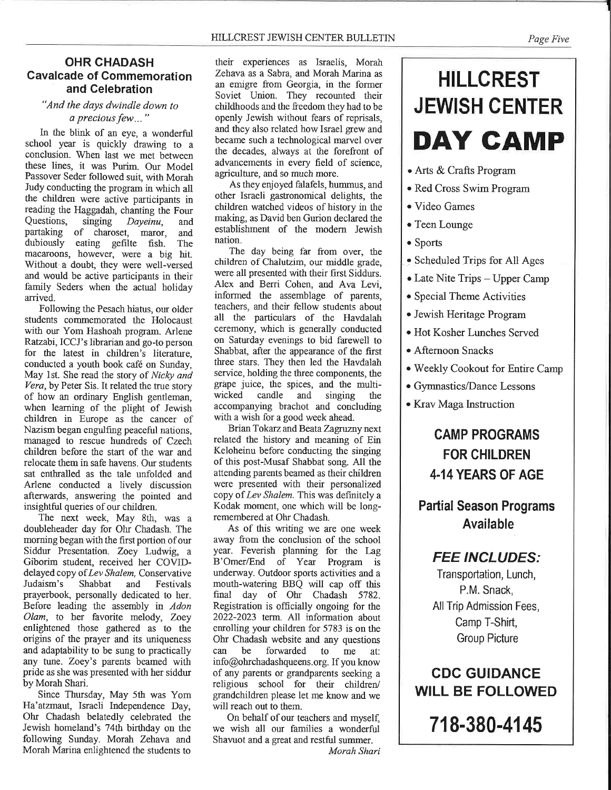# **OHR CHADASH Cavalcade of Commemoration** and Celebration

## "And the days dwindle down to a precious few..."

In the blink of an eye, a wonderful school year is quickly drawing to a conclusion. When last we met between these lines, it was Purim. Our Model Passover Seder followed suit, with Morah Judy conducting the program in which all the children were active participants in reading the Haggadah, chanting the Four Questions. singing Daveinu. and partaking of charoset, maror, and dubiously eating gefilte fish. The macaroons, however, were a big hit. Without a doubt, they were well-versed and would be active participants in their family Seders when the actual holiday arrived.

Following the Pesach hiatus, our older students commemorated the Holocaust with our Yom Hashoah program. Arlene Ratzabi, ICCJ's librarian and go-to person for the latest in children's literature. conducted a vouth book café on Sunday. May 1st. She read the story of Nicky and Vera, by Peter Sis. It related the true story of how an ordinary English gentleman, when learning of the plight of Jewish children in Europe as the cancer of Nazism began engulfing peaceful nations, managed to rescue hundreds of Czech children before the start of the war and relocate them in safe havens. Our students sat enthralled as the tale unfolded and Arlene conducted a lively discussion afterwards, answering the pointed and insightful queries of our children.

The next week, May 8th, was a doubleheader day for Ohr Chadash. The morning began with the first portion of our Siddur Presentation. Zoey Ludwig, a Giborim student, received her COVIDdelayed copy of Lev Shalem, Conservative and Judaism's Shabbat Festivals prayerbook, personally dedicated to her. Before leading the assembly in Adon Olam, to her favorite melody, Zoey enlightened those gathered as to the origins of the prayer and its uniqueness and adaptability to be sung to practically any tune. Zoey's parents beamed with pride as she was presented with her siddur by Morah Shari.

Since Thursday, May 5th was Yom Ha'atzmaut, Israeli Independence Day, Ohr Chadash belatedly celebrated the Jewish homeland's 74th birthday on the following Sunday. Morah Zehava and Morah Marina enlightened the students to

their experiences as Israelis, Morah Zehava as a Sabra, and Morah Marina as an emigre from Georgia, in the former Soviet Union. They recounted their childhoods and the freedom they had to be openly Jewish without fears of reprisals. and they also related how Israel grew and became such a technological marvel over the decades, always at the forefront of advancements in every field of science. agriculture, and so much more.

As they enjoyed falafels, hummus, and other Israeli gastronomical delights, the children watched videos of history in the making, as David ben Gurion declared the establishment of the modern Jewish nation.

The day being far from over, the children of Chalutzim, our middle grade, were all presented with their first Siddurs. Alex and Berri Cohen, and Ava Levi, informed the assemblage of parents, teachers, and their fellow students about all the particulars of the Havdalah ceremony, which is generally conducted on Saturday evenings to bid farewell to Shabbat, after the appearance of the first three stars. They then led the Havdalah service, holding the three components, the grape juice, the spices, and the multiwicked candle and singing the accompanying brachot and concluding with a wish for a good week ahead.

Brian Tokarz and Beata Zagruzny next related the history and meaning of Ein Keloheinu before conducting the singing of this post-Musaf Shabbat song. All the attending parents beamed as their children were presented with their personalized copy of Lev Shalem. This was definitely a Kodak moment, one which will be longremembered at Ohr Chadash.

As of this writing we are one week away from the conclusion of the school year. Feverish planning for the Lag B'Omer/End of Year Program is underway. Outdoor sports activities and a mouth-watering BBQ will cap off this final day of Ohr Chadash 5782. Registration is officially ongoing for the 2022-2023 term. All information about enrolling your children for 5783 is on the Ohr Chadash website and any questions can be forwarded to me at: info@ohrchadashqueens.org. If you know of any parents or grandparents seeking a religious school for their children/ grandchildren please let me know and we will reach out to them.

On behalf of our teachers and myself, we wish all our families a wonderful Shavuot and a great and restful summer. Morah Shari

# **HILLCREST JEWISH CENTER DAY CAMP**

- Arts & Crafts Program
- · Red Cross Swim Program
- Video Games
- Teen Lounge
- Sports
- Scheduled Trips for All Ages
- Late Nite Trips Upper Camp
- Special Theme Activities
- Jewish Heritage Program
- Hot Kosher Lunches Served
- Afternoon Snacks
- . Weekly Cookout for Entire Camp
- Gymnastics/Dance Lessons
- Krav Maga Instruction

# **CAMP PROGRAMS FOR CHILDREN** 4-14 YEARS OF AGE

# **Partial Season Programs Available**

# **FEE INCLUDES:**

Transportation, Lunch, P.M. Snack. All Trip Admission Fees. Camp T-Shirt, **Group Picture** 

**CDC GUIDANCE WILL BE FOLLOWED** 

718-380-4145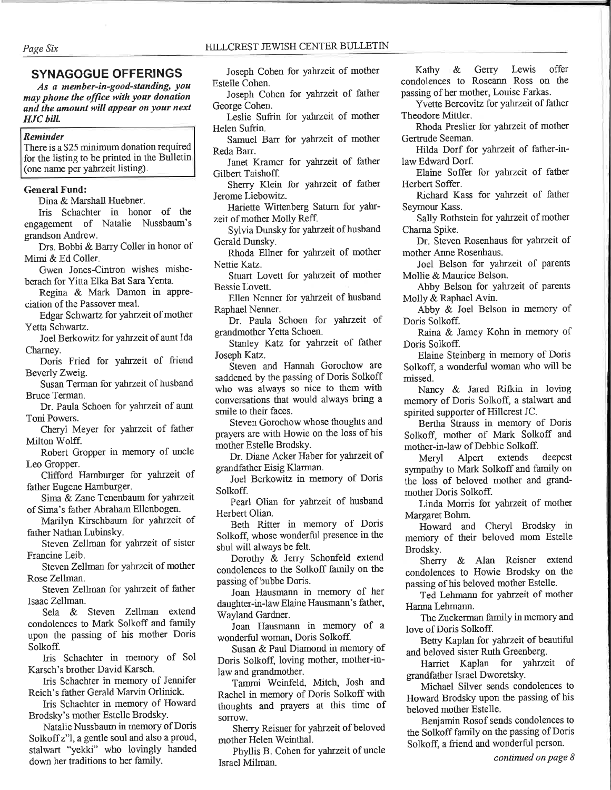# **SYNAGOGUE OFFERINGS**

As a member-in-good-standing, you may phone the office with your donation and the amount will appear on your next **HJC** bill.

## Reminder

There is a \$25 minimum donation required for the listing to be printed in the Bulletin (one name per yahrzeit listing).

## **General Fund:**

Dina & Marshall Huebner.

Iris Schachter in honor of the engagement of Natalie Nussbaum's grandson Andrew.

Drs. Bobbi & Barry Coller in honor of Mimi & Ed Coller.

Gwen Jones-Cintron wishes misheberach for Yitta Elka Bat Sara Yenta.

Regina & Mark Damon in appreciation of the Passover meal.

Edgar Schwartz for yahrzeit of mother Yetta Schwartz.

Joel Berkowitz for yahrzeit of aunt Ida Charney.

Doris Fried for yahrzeit of friend Beverly Zweig.

Susan Terman for yahrzeit of husband Bruce Terman.

Dr. Paula Schoen for yahrzeit of aunt Toni Powers.

Cheryl Meyer for yahrzeit of father Milton Wolff.

Robert Gropper in memory of uncle Leo Gropper.

Clifford Hamburger for yahrzeit of father Eugene Hamburger.

Sima & Zane Tenenbaum for yahrzeit of Sima's father Abraham Ellenbogen.

Marilyn Kirschbaum for yahrzeit of father Nathan Lubinsky.

Steven Zellman for yahrzeit of sister Francine Leib.

Steven Zellman for yahrzeit of mother Rose Zellman.

Steven Zellman for yahrzeit of father Isaac Zellman.

Sela & Steven Zellman extend condolences to Mark Solkoff and family upon the passing of his mother Doris Solkoff.

Iris Schachter in memory of Sol Karsch's brother David Karsch.

Iris Schachter in memory of Jennifer Reich's father Gerald Marvin Orlinick.

Iris Schachter in memory of Howard Brodsky's mother Estelle Brodsky.

Natalie Nussbaum in memory of Doris Solkoff z"l, a gentle soul and also a proud, stalwart "yekki" who lovingly handed down her traditions to her family.

Joseph Cohen for yahrzeit of mother

Estelle Cohen. Joseph Cohen for yahrzeit of father George Cohen.

Leslie Sufrin for yahrzeit of mother Helen Sufrin.

Samuel Barr for yahrzeit of mother Reda Barr.

Janet Kramer for yahrzeit of father Gilbert Taishoff.

Sherry Klein for yahrzeit of father Jerome Liebowitz.

Hariette Wittenberg Saturn for yahrzeit of mother Molly Reff.

Sylvia Dunsky for yahrzeit of husband Gerald Dunsky.

Rhoda Ellner for yahrzeit of mother Nettie Katz.

Stuart Lovett for yahrzeit of mother Bessie Lovett.

Ellen Nenner for yahrzeit of husband Raphael Nenner.

Dr. Paula Schoen for yahrzeit of grandmother Yetta Schoen.

Stanley Katz for yahrzeit of father Joseph Katz.

Steven and Hannah Gorochow are saddened by the passing of Doris Solkoff who was always so nice to them with conversations that would always bring a smile to their faces.

Steven Gorochow whose thoughts and prayers are with Howie on the loss of his mother Estelle Brodsky.

Dr. Diane Acker Haber for yahrzeit of grandfather Eisig Klarman.

Joel Berkowitz in memory of Doris Solkoff.

Pearl Olian for yahrzeit of husband Herbert Olian.

Beth Ritter in memory of Doris Solkoff, whose wonderful presence in the shul will always be felt.

Dorothy & Jerry Schonfeld extend condolences to the Solkoff family on the passing of bubbe Doris.

Joan Hausmann in memory of her daughter-in-law Elaine Hausmann's father, Wayland Gardner.

Joan Hausmann in memory of a wonderful woman, Doris Solkoff.

Susan & Paul Diamond in memory of Doris Solkoff, loving mother, mother-inlaw and grandmother.

Tammi Weinfeld, Mitch, Josh and Rachel in memory of Doris Solkoff with thoughts and prayers at this time of sorrow.

Sherry Reisner for yahrzeit of beloved mother Helen Weinthal.

Phyllis B. Cohen for yahrzeit of uncle Israel Milman.

& Gerry Lewis offer Kathy condolences to Roseann Ross on the passing of her mother, Louise Farkas.

Yvette Bercovitz for yahrzeit of father Theodore Mittler.

Rhoda Preslier for yahrzeit of mother Gertrude Seeman.

Hilda Dorf for yahrzeit of father-inlaw Edward Dorf.

Elaine Soffer for yahrzeit of father Herbert Soffer.

Richard Kass for yahrzeit of father Seymour Kass.

Sally Rothstein for yahrzeit of mother Charna Spike.

Dr. Steven Rosenhaus for yahrzeit of mother Anne Rosenhaus.

Joel Belson for yahrzeit of parents Mollie & Maurice Belson.

Abby Belson for yahrzeit of parents Molly & Raphael Avin.

Abby & Joel Belson in memory of Doris Solkoff.

Raina & Jamey Kohn in memory of Doris Solkoff.

Elaine Steinberg in memory of Doris Solkoff, a wonderful woman who will be missed.

Nancy & Jared Rifkin in loving memory of Doris Solkoff, a stalwart and spirited supporter of Hillcrest JC.

Bertha Strauss in memory of Doris Solkoff, mother of Mark Solkoff and mother-in-law of Debbie Solkoff.

Meryl Alpert extends deepest sympathy to Mark Solkoff and family on the loss of beloved mother and grandmother Doris Solkoff.

Linda Morris for yahrzeit of mother Margaret Bohm.

Howard and Cheryl Brodsky in memory of their beloved mom Estelle Brodsky.

Sherry & Alan Reisner extend condolences to Howie Brodsky on the passing of his beloved mother Estelle.

Ted Lehmann for yahrzeit of mother Hanna Lehmann.

The Zuckerman family in memory and love of Doris Solkoff.

Betty Kaplan for yahrzeit of beautiful and beloved sister Ruth Greenberg.

Harriet Kaplan for yahrzeit of grandfather Israel Dworetsky.

Michael Silver sends condolences to Howard Brodsky upon the passing of his beloved mother Estelle.

Benjamin Rosof sends condolences to the Solkoff family on the passing of Doris Solkoff, a friend and wonderful person.